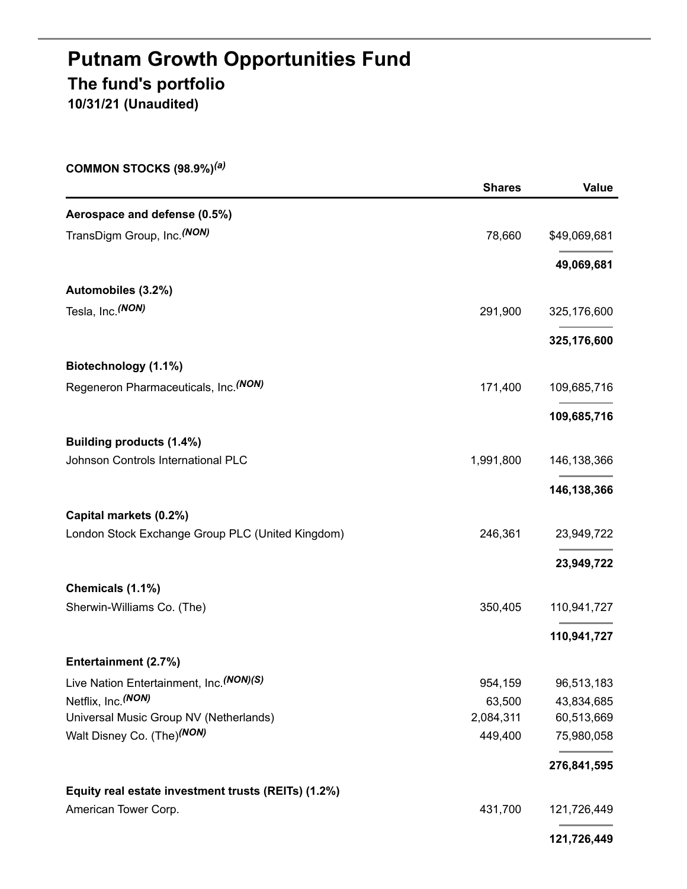# **Putnam Growth Opportunities Fund The fund's portfolio 10/31/21 (Unaudited)**

**COMMON STOCKS (98.9%)** *(a)*

|                                                     | <b>Shares</b> | Value         |
|-----------------------------------------------------|---------------|---------------|
| Aerospace and defense (0.5%)                        |               |               |
| TransDigm Group, Inc. <sup>(NON)</sup>              | 78,660        | \$49,069,681  |
|                                                     |               | 49,069,681    |
| Automobiles (3.2%)                                  |               |               |
| Tesla, Inc. (NON)                                   | 291,900       | 325,176,600   |
|                                                     |               | 325,176,600   |
| Biotechnology (1.1%)                                |               |               |
| Regeneron Pharmaceuticals, Inc. (NON)               | 171,400       | 109,685,716   |
|                                                     |               | 109,685,716   |
| Building products (1.4%)                            |               |               |
| Johnson Controls International PLC                  | 1,991,800     | 146, 138, 366 |
|                                                     |               | 146,138,366   |
| Capital markets (0.2%)                              |               |               |
| London Stock Exchange Group PLC (United Kingdom)    | 246,361       | 23,949,722    |
|                                                     |               | 23,949,722    |
| Chemicals (1.1%)                                    |               |               |
| Sherwin-Williams Co. (The)                          | 350,405       | 110,941,727   |
|                                                     |               | 110,941,727   |
| Entertainment (2.7%)                                |               |               |
| Live Nation Entertainment, Inc. (NON)(S)            | 954,159       | 96,513,183    |
| Netflix, Inc. (NON)                                 | 63,500        | 43,834,685    |
| Universal Music Group NV (Netherlands)              | 2,084,311     | 60,513,669    |
| Walt Disney Co. (The) <sup>(NON)</sup>              | 449,400       | 75,980,058    |
|                                                     |               | 276,841,595   |
| Equity real estate investment trusts (REITs) (1.2%) |               |               |
| American Tower Corp.                                | 431,700       | 121,726,449   |
|                                                     |               | 121,726,449   |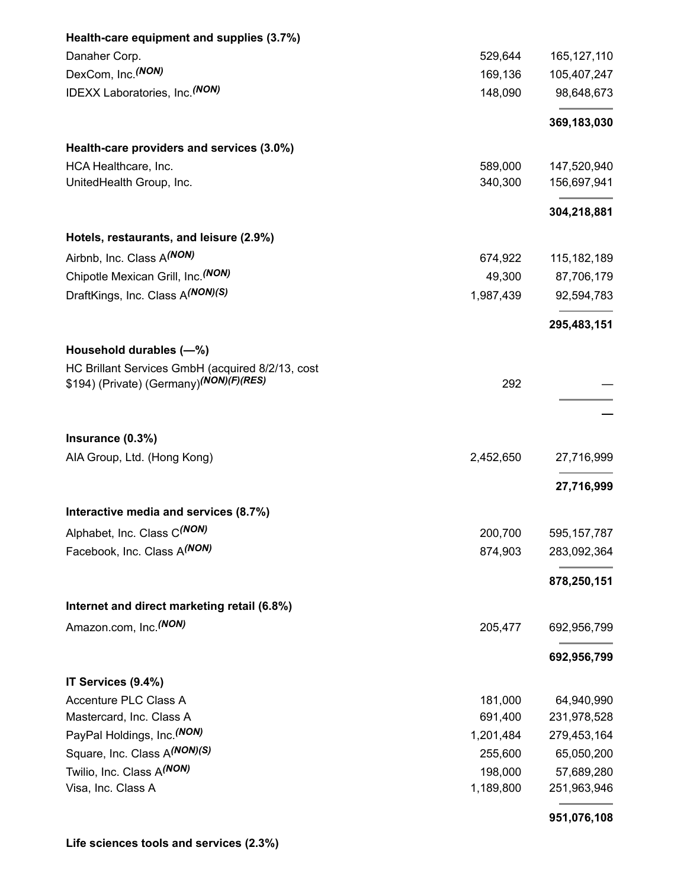| Health-care equipment and supplies (3.7%)            |           |               |
|------------------------------------------------------|-----------|---------------|
| Danaher Corp.                                        | 529,644   | 165, 127, 110 |
| DexCom, Inc. <sup>(NON)</sup>                        | 169,136   | 105,407,247   |
| <b>IDEXX Laboratories, Inc. (NON)</b>                | 148,090   | 98,648,673    |
|                                                      |           | 369,183,030   |
| Health-care providers and services (3.0%)            |           |               |
| HCA Healthcare, Inc.                                 | 589,000   | 147,520,940   |
| UnitedHealth Group, Inc.                             | 340,300   | 156,697,941   |
|                                                      |           | 304,218,881   |
| Hotels, restaurants, and leisure (2.9%)              |           |               |
| Airbnb, Inc. Class A(NON)                            | 674,922   | 115, 182, 189 |
| Chipotle Mexican Grill, Inc. (NON)                   | 49,300    | 87,706,179    |
| DraftKings, Inc. Class A(NON)(S)                     | 1,987,439 | 92,594,783    |
|                                                      |           | 295,483,151   |
| Household durables (-%)                              |           |               |
| HC Brillant Services GmbH (acquired 8/2/13, cost     |           |               |
| \$194) (Private) (Germany) <sup>(NON)</sup> (F)(RES) | 292       |               |
|                                                      |           |               |
| Insurance (0.3%)                                     |           |               |
| AIA Group, Ltd. (Hong Kong)                          | 2,452,650 | 27,716,999    |
|                                                      |           | 27,716,999    |
| Interactive media and services (8.7%)                |           |               |
| Alphabet, Inc. Class C(NON)                          | 200,700   | 595, 157, 787 |
| Facebook, Inc. Class A(NON)                          | 874,903   | 283,092,364   |
|                                                      |           | 878,250,151   |
| Internet and direct marketing retail (6.8%)          |           |               |
| Amazon.com, Inc. <sup>(NON)</sup>                    | 205,477   | 692,956,799   |
|                                                      |           | 692,956,799   |
| IT Services (9.4%)                                   |           |               |
| Accenture PLC Class A                                | 181,000   | 64,940,990    |
| Mastercard, Inc. Class A                             | 691,400   | 231,978,528   |
| PayPal Holdings, Inc. (NON)                          | 1,201,484 | 279,453,164   |
| Square, Inc. Class A(NON)(S)                         | 255,600   | 65,050,200    |
| Twilio, Inc. Class A(NON)                            | 198,000   | 57,689,280    |
| Visa, Inc. Class A                                   | 1,189,800 | 251,963,946   |
|                                                      |           | 951,076,108   |

## **Life sciences tools and services (2.3%)**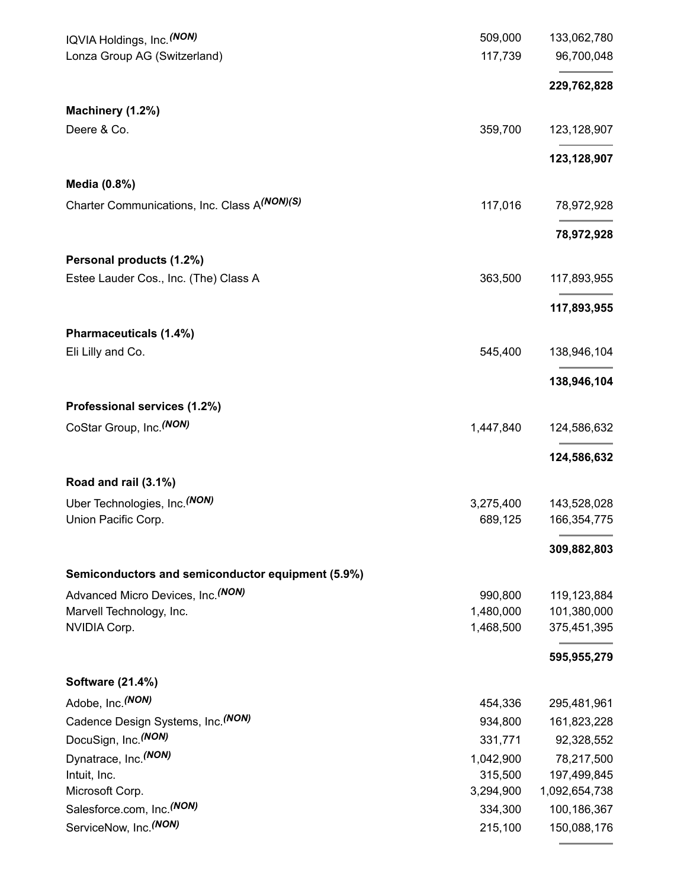| IQVIA Holdings, Inc. (NON)                        | 509,000   | 133,062,780   |
|---------------------------------------------------|-----------|---------------|
| Lonza Group AG (Switzerland)                      | 117,739   | 96,700,048    |
|                                                   |           | 229,762,828   |
| Machinery (1.2%)                                  |           |               |
| Deere & Co.                                       | 359,700   | 123,128,907   |
|                                                   |           | 123,128,907   |
| Media (0.8%)                                      |           |               |
| Charter Communications, Inc. Class A(NON)(S)      | 117,016   | 78,972,928    |
|                                                   |           | 78,972,928    |
| Personal products (1.2%)                          |           |               |
| Estee Lauder Cos., Inc. (The) Class A             | 363,500   | 117,893,955   |
|                                                   |           |               |
|                                                   |           | 117,893,955   |
| Pharmaceuticals (1.4%)<br>Eli Lilly and Co.       | 545,400   | 138,946,104   |
|                                                   |           |               |
|                                                   |           | 138,946,104   |
| Professional services (1.2%)                      |           |               |
| CoStar Group, Inc. (NON)                          | 1,447,840 | 124,586,632   |
|                                                   |           | 124,586,632   |
| Road and rail (3.1%)                              |           |               |
| Uber Technologies, Inc. (NON)                     | 3,275,400 | 143,528,028   |
| Union Pacific Corp.                               | 689,125   | 166,354,775   |
|                                                   |           | 309,882,803   |
| Semiconductors and semiconductor equipment (5.9%) |           |               |
| Advanced Micro Devices, Inc. (NON)                | 990,800   | 119,123,884   |
| Marvell Technology, Inc.                          | 1,480,000 | 101,380,000   |
| NVIDIA Corp.                                      | 1,468,500 | 375,451,395   |
|                                                   |           | 595,955,279   |
| <b>Software (21.4%)</b>                           |           |               |
| Adobe, Inc. (NON)                                 | 454,336   | 295,481,961   |
| Cadence Design Systems, Inc. (NON)                | 934,800   | 161,823,228   |
| DocuSign, Inc. (NON)                              | 331,771   | 92,328,552    |
| Dynatrace, Inc. <sup>(NON)</sup>                  | 1,042,900 | 78,217,500    |
| Intuit, Inc.                                      | 315,500   | 197,499,845   |
| Microsoft Corp.                                   | 3,294,900 | 1,092,654,738 |
| Salesforce.com, Inc. <sup>(NON)</sup>             | 334,300   | 100,186,367   |
| ServiceNow, Inc. <sup>(NON)</sup>                 | 215,100   | 150,088,176   |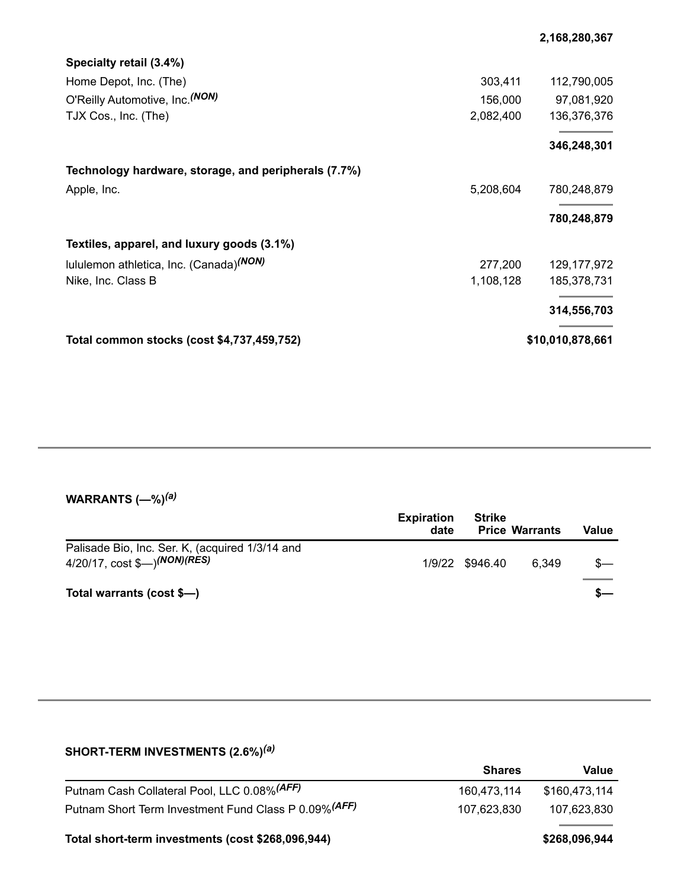| Specialty retail (3.4%)                              |           |                  |
|------------------------------------------------------|-----------|------------------|
| Home Depot, Inc. (The)                               | 303,411   | 112,790,005      |
| O'Reilly Automotive, Inc. (NON)                      | 156,000   | 97,081,920       |
| TJX Cos., Inc. (The)                                 | 2,082,400 | 136,376,376      |
|                                                      |           | 346,248,301      |
| Technology hardware, storage, and peripherals (7.7%) |           |                  |
| Apple, Inc.                                          | 5,208,604 | 780,248,879      |
|                                                      |           | 780,248,879      |
| Textiles, apparel, and luxury goods (3.1%)           |           |                  |
| lululemon athletica, Inc. (Canada) <sup>(NON)</sup>  | 277,200   | 129, 177, 972    |
| Nike, Inc. Class B                                   | 1,108,128 | 185,378,731      |
|                                                      |           | 314,556,703      |
| Total common stocks (cost \$4,737,459,752)           |           | \$10,010,878,661 |

#### **WARRANTS (—%)** *(a)*

|                                                                                              | <b>Expiration</b><br>date | Strike          | <b>Price Warrants</b> | Value |
|----------------------------------------------------------------------------------------------|---------------------------|-----------------|-----------------------|-------|
| Palisade Bio, Inc. Ser. K, (acquired 1/3/14 and<br>4/20/17, cost \$—) <sup>(NON)</sup> (RES) |                           | 1/9/22 \$946.40 | 6.349                 |       |
| Total warrants (cost \$-)                                                                    |                           |                 |                       |       |

## **SHORT-TERM INVESTMENTS (2.6%)** *(a)* **Shares Value** Putnam Cash Collateral Pool, LLC 0.08%<sup>(AFF)</sup> 160,473,114 \$160,473,114 Putnam Short Term Investment Fund Class P 0.09%<sup>(AFF)</sup> 107,623,830 107,623,830 **Total short-term investments (cost \$268,096,944) \$268,096,944**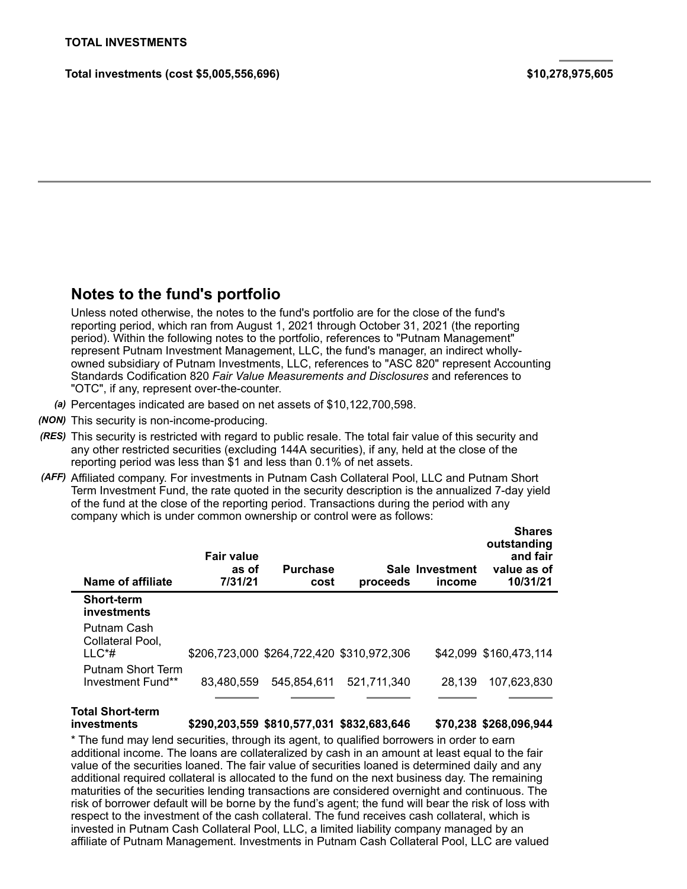**Total investments (cost \$5,005,556,696) \$10,278,975,605**

## **Notes to the fund's portfolio**

Unless noted otherwise, the notes to the fund's portfolio are for the close of the fund's reporting period, which ran from August 1, 2021 through October 31, 2021 (the reporting period). Within the following notes to the portfolio, references to "Putnam Management" represent Putnam Investment Management, LLC, the fund's manager, an indirect whollyowned subsidiary of Putnam Investments, LLC, references to "ASC 820" represent Accounting Standards Codification 820 *Fair Value Measurements and Disclosures* and references to "OTC", if any, represent over-the-counter.

- *(a)* Percentages indicated are based on net assets of \$10,122,700,598.
- *(NON)* This security is non-income-producing.
- *(RES)* This security is restricted with regard to public resale. The total fair value of this security and any other restricted securities (excluding 144A securities), if any, held at the close of the reporting period was less than \$1 and less than 0.1% of net assets.
- *(AFF)* Affiliated company. For investments in Putnam Cash Collateral Pool, LLC and Putnam Short Term Investment Fund, the rate quoted in the security description is the annualized 7-day yield of the fund at the close of the reporting period. Transactions during the period with any company which is under common ownership or control were as follows:

| Name of affiliate                             | <b>Fair value</b><br>as of<br>7/31/21 | <b>Purchase</b><br>cost | proceeds                                  | Sale Investment<br>income | onares<br>outstanding<br>and fair<br>value as of<br>10/31/21 |
|-----------------------------------------------|---------------------------------------|-------------------------|-------------------------------------------|---------------------------|--------------------------------------------------------------|
| <b>Short-term</b><br>investments              |                                       |                         |                                           |                           |                                                              |
| Putnam Cash<br>Collateral Pool.               |                                       |                         |                                           |                           |                                                              |
| $LL C^*#$                                     |                                       |                         | \$206,723,000 \$264,722,420 \$310,972,306 |                           | \$42,099 \$160,473,114                                       |
| <b>Putnam Short Term</b><br>Investment Fund** | 83,480,559                            | 545.854.611             | 521.711.340                               | 28.139                    | 107,623,830                                                  |
|                                               |                                       |                         |                                           |                           |                                                              |

## **Total Short-term**

**investments \$290,203,559 \$810,577,031 \$832,683,646 \$70,238 \$268,096,944**

**Shares**

\* The fund may lend securities, through its agent, to qualified borrowers in order to earn additional income. The loans are collateralized by cash in an amount at least equal to the fair value of the securities loaned. The fair value of securities loaned is determined daily and any additional required collateral is allocated to the fund on the next business day. The remaining maturities of the securities lending transactions are considered overnight and continuous. The risk of borrower default will be borne by the fund's agent; the fund will bear the risk of loss with respect to the investment of the cash collateral. The fund receives cash collateral, which is invested in Putnam Cash Collateral Pool, LLC, a limited liability company managed by an affiliate of Putnam Management. Investments in Putnam Cash Collateral Pool, LLC are valued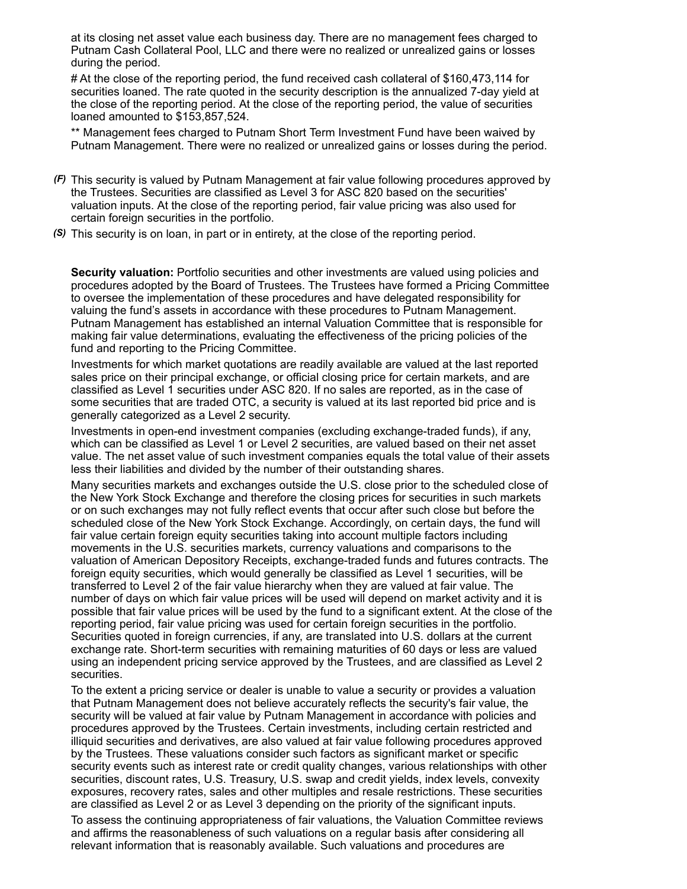at its closing net asset value each business day. There are no management fees charged to Putnam Cash Collateral Pool, LLC and there were no realized or unrealized gains or losses during the period.

# At the close of the reporting period, the fund received cash collateral of \$160,473,114 for securities loaned. The rate quoted in the security description is the annualized 7-day yield at the close of the reporting period. At the close of the reporting period, the value of securities loaned amounted to \$153,857,524.

\*\* Management fees charged to Putnam Short Term Investment Fund have been waived by Putnam Management. There were no realized or unrealized gains or losses during the period.

- *(F)* This security is valued by Putnam Management at fair value following procedures approved by the Trustees. Securities are classified as Level 3 for ASC 820 based on the securities' valuation inputs. At the close of the reporting period, fair value pricing was also used for certain foreign securities in the portfolio.
- *(S)* This security is on loan, in part or in entirety, at the close of the reporting period.

**Security valuation:** Portfolio securities and other investments are valued using policies and procedures adopted by the Board of Trustees. The Trustees have formed a Pricing Committee to oversee the implementation of these procedures and have delegated responsibility for valuing the fund's assets in accordance with these procedures to Putnam Management. Putnam Management has established an internal Valuation Committee that is responsible for making fair value determinations, evaluating the effectiveness of the pricing policies of the fund and reporting to the Pricing Committee.

Investments for which market quotations are readily available are valued at the last reported sales price on their principal exchange, or official closing price for certain markets, and are classified as Level 1 securities under ASC 820. If no sales are reported, as in the case of some securities that are traded OTC, a security is valued at its last reported bid price and is generally categorized as a Level 2 security.

Investments in open-end investment companies (excluding exchange-traded funds), if any, which can be classified as Level 1 or Level 2 securities, are valued based on their net asset value. The net asset value of such investment companies equals the total value of their assets less their liabilities and divided by the number of their outstanding shares.

Many securities markets and exchanges outside the U.S. close prior to the scheduled close of the New York Stock Exchange and therefore the closing prices for securities in such markets or on such exchanges may not fully reflect events that occur after such close but before the scheduled close of the New York Stock Exchange. Accordingly, on certain days, the fund will fair value certain foreign equity securities taking into account multiple factors including movements in the U.S. securities markets, currency valuations and comparisons to the valuation of American Depository Receipts, exchange-traded funds and futures contracts. The foreign equity securities, which would generally be classified as Level 1 securities, will be transferred to Level 2 of the fair value hierarchy when they are valued at fair value. The number of days on which fair value prices will be used will depend on market activity and it is possible that fair value prices will be used by the fund to a significant extent. At the close of the reporting period, fair value pricing was used for certain foreign securities in the portfolio. Securities quoted in foreign currencies, if any, are translated into U.S. dollars at the current exchange rate. Short-term securities with remaining maturities of 60 days or less are valued using an independent pricing service approved by the Trustees, and are classified as Level 2 securities.

To the extent a pricing service or dealer is unable to value a security or provides a valuation that Putnam Management does not believe accurately reflects the security's fair value, the security will be valued at fair value by Putnam Management in accordance with policies and procedures approved by the Trustees. Certain investments, including certain restricted and illiquid securities and derivatives, are also valued at fair value following procedures approved by the Trustees. These valuations consider such factors as significant market or specific security events such as interest rate or credit quality changes, various relationships with other securities, discount rates, U.S. Treasury, U.S. swap and credit yields, index levels, convexity exposures, recovery rates, sales and other multiples and resale restrictions. These securities are classified as Level 2 or as Level 3 depending on the priority of the significant inputs.

To assess the continuing appropriateness of fair valuations, the Valuation Committee reviews and affirms the reasonableness of such valuations on a regular basis after considering all relevant information that is reasonably available. Such valuations and procedures are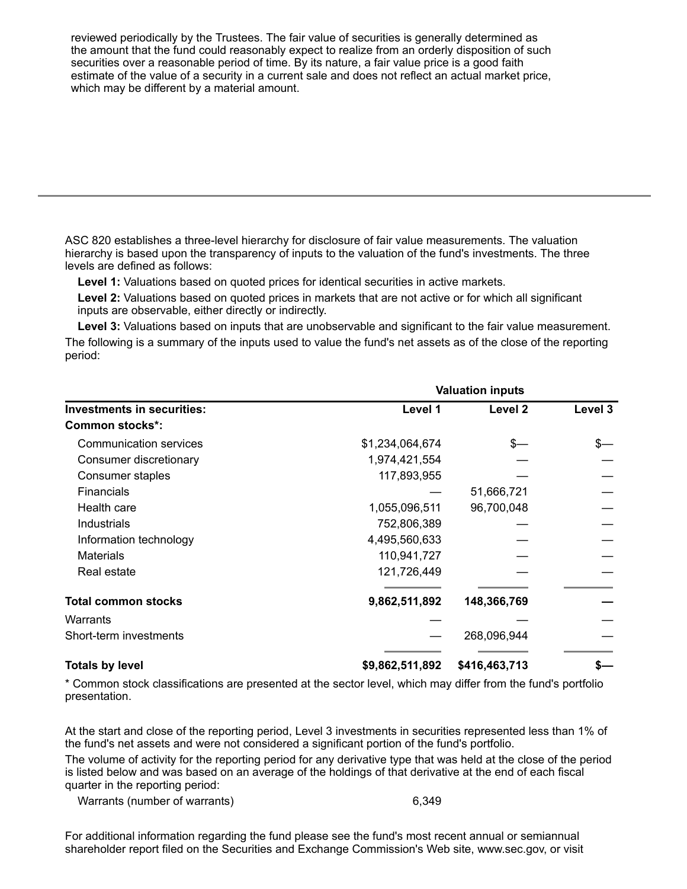reviewed periodically by the Trustees. The fair value of securities is generally determined as the amount that the fund could reasonably expect to realize from an orderly disposition of such securities over a reasonable period of time. By its nature, a fair value price is a good faith estimate of the value of a security in a current sale and does not reflect an actual market price, which may be different by a material amount.

ASC 820 establishes a three-level hierarchy for disclosure of fair value measurements. The valuation hierarchy is based upon the transparency of inputs to the valuation of the fund's investments. The three levels are defined as follows:

**Level 1:** Valuations based on quoted prices for identical securities in active markets.

**Level 2:** Valuations based on quoted prices in markets that are not active or for which all significant inputs are observable, either directly or indirectly.

**Level 3:** Valuations based on inputs that are unobservable and significant to the fair value measurement.

The following is a summary of the inputs used to value the fund's net assets as of the close of the reporting period:

|                                   | <b>Valuation inputs</b> |               |         |  |
|-----------------------------------|-------------------------|---------------|---------|--|
| <b>Investments in securities:</b> | Level 1                 | Level 2       | Level 3 |  |
| <b>Common stocks*:</b>            |                         |               |         |  |
| <b>Communication services</b>     | \$1,234,064,674         | \$—           |         |  |
| Consumer discretionary            | 1,974,421,554           |               |         |  |
| Consumer staples                  | 117,893,955             |               |         |  |
| <b>Financials</b>                 |                         | 51,666,721    |         |  |
| Health care                       | 1,055,096,511           | 96,700,048    |         |  |
| Industrials                       | 752,806,389             |               |         |  |
| Information technology            | 4,495,560,633           |               |         |  |
| <b>Materials</b>                  | 110,941,727             |               |         |  |
| Real estate                       | 121,726,449             |               |         |  |
| <b>Total common stocks</b>        | 9,862,511,892           | 148,366,769   |         |  |
| Warrants                          |                         |               |         |  |
| Short-term investments            |                         | 268,096,944   |         |  |
| <b>Totals by level</b>            | \$9,862,511,892         | \$416,463,713 |         |  |

\* Common stock classifications are presented at the sector level, which may differ from the fund's portfolio presentation.

At the start and close of the reporting period, Level 3 investments in securities represented less than 1% of the fund's net assets and were not considered a significant portion of the fund's portfolio.

The volume of activity for the reporting period for any derivative type that was held at the close of the period is listed below and was based on an average of the holdings of that derivative at the end of each fiscal quarter in the reporting period:

Warrants (number of warrants) 6,349

For additional information regarding the fund please see the fund's most recent annual or semiannual shareholder report filed on the Securities and Exchange Commission's Web site, www.sec.gov, or visit